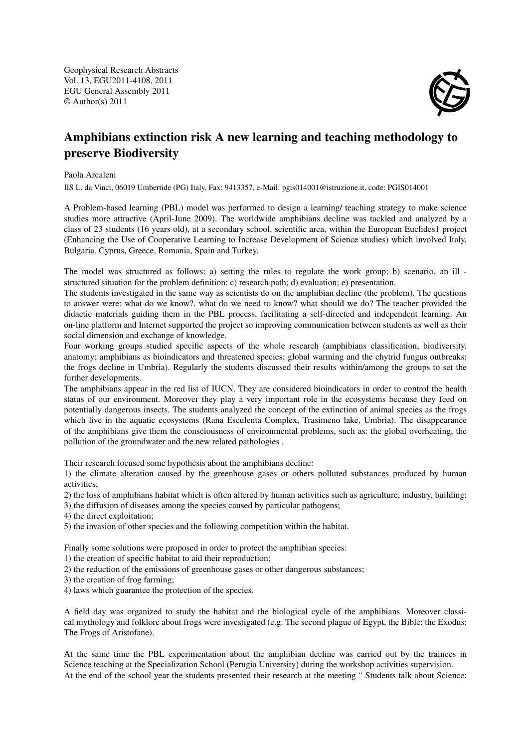Geophysical Research Abstracts Vol. 13, EGU2011-4108, 2011 EGU General Assembly 2011 © Author(s) 2011



## Amphibians extinction risk A new learning and teaching methodology to preserve Biodiversity

## Paola Arcaleni

IIS L. da Vinci, 06019 Umbertide (PG) Italy, Fax: 9413357, e-Mail: pgis014001@istruzione.it, code: PGIS014001

A Problem-based learning (PBL) model was performed to design a learning/ teaching strategy to make science studies more attractive (April-June 2009). The worldwide amphibians decline was tackled and analyzed by a class of 23 students (16 years old), at a secondary school, scientific area, within the European Euclides1 project (Enhancing the Use of Cooperative Learning to Increase Development of Science studies) which involved Italy, Bulgaria, Cyprus, Greece, Romania, Spain and Turkey.

The model was structured as follows: a) setting the rules to regulate the work group; b) scenario, an ill structured situation for the problem definition; c) research path; d) evaluation; e) presentation.

The students investigated in the same way as scientists do on the amphibian decline (the problem). The questions to answer were: what do we know?, what do we need to know? what should we do? The teacher provided the didactic materials guiding them in the PBL process, facilitating a self-directed and independent learning. An on-line platform and Internet supported the project so improving communication between students as well as their social dimension and exchange of knowledge.

Four working groups studied specific aspects of the whole research (amphibians classification, biodiversity, anatomy; amphibians as bioindicators and threatened species; global warming and the chytrid fungus outbreaks; the frogs decline in Umbria). Regularly the students discussed their results within/among the groups to set the further developments.

The amphibians appear in the red list of IUCN. They are considered bioindicators in order to control the health status of our environment. Moreover they play a very important role in the ecosystems because they feed on potentially dangerous insects. The students analyzed the concept of the extinction of animal species as the frogs which live in the aquatic ecosystems (Rana Esculenta Complex, Trasimeno lake, Umbria). The disappearance of the amphibians give them the consciousness of environmental problems, such as: the global overheating, the pollution of the groundwater and the new related pathologies .

Their research focused some hypothesis about the amphibians decline:

1) the climate alteration caused by the greenhouse gases or others polluted substances produced by human activities;

2) the loss of amphibians habitat which is often altered by human activities such as agriculture, industry, building;

3) the diffusion of diseases among the species caused by particular pathogens;

4) the direct exploitation;

5) the invasion of other species and the following competition within the habitat.

Finally some solutions were proposed in order to protect the amphibian species:

1) the creation of specific habitat to aid their reproduction;

2) the reduction of the emissions of greenhouse gases or other dangerous substances;

- 3) the creation of frog farming;
- 4) laws which guarantee the protection of the species.

A field day was organized to study the habitat and the biological cycle of the amphibians. Moreover classical mythology and folklore about frogs were investigated (e.g. The second plague of Egypt, the Bible: the Exodus; The Frogs of Aristofane).

At the same time the PBL experimentation about the amphibian decline was carried out by the trainees in Science teaching at the Specialization School (Perugia University) during the workshop activities supervision. At the end of the school year the students presented their research at the meeting " Students talk about Science: